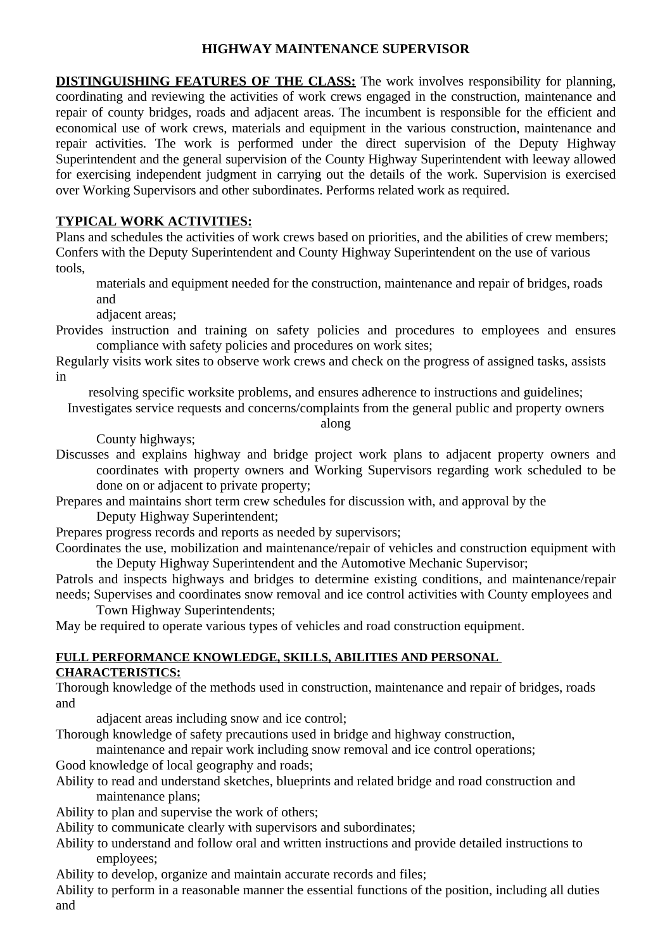## **HIGHWAY MAINTENANCE SUPERVISOR**

**DISTINGUISHING FEATURES OF THE CLASS:** The work involves responsibility for planning, coordinating and reviewing the activities of work crews engaged in the construction, maintenance and repair of county bridges, roads and adjacent areas. The incumbent is responsible for the efficient and economical use of work crews, materials and equipment in the various construction, maintenance and repair activities. The work is performed under the direct supervision of the Deputy Highway Superintendent and the general supervision of the County Highway Superintendent with leeway allowed for exercising independent judgment in carrying out the details of the work. Supervision is exercised over Working Supervisors and other subordinates. Performs related work as required.

## **TYPICAL WORK ACTIVITIES:**

Plans and schedules the activities of work crews based on priorities, and the abilities of crew members; Confers with the Deputy Superintendent and County Highway Superintendent on the use of various tools,

materials and equipment needed for the construction, maintenance and repair of bridges, roads and

adjacent areas;

Provides instruction and training on safety policies and procedures to employees and ensures compliance with safety policies and procedures on work sites;

Regularly visits work sites to observe work crews and check on the progress of assigned tasks, assists in

resolving specific worksite problems, and ensures adherence to instructions and guidelines;

Investigates service requests and concerns/complaints from the general public and property owners

along

County highways;

Discusses and explains highway and bridge project work plans to adjacent property owners and coordinates with property owners and Working Supervisors regarding work scheduled to be done on or adjacent to private property;

Prepares and maintains short term crew schedules for discussion with, and approval by the

Deputy Highway Superintendent;

Prepares progress records and reports as needed by supervisors;

Coordinates the use, mobilization and maintenance/repair of vehicles and construction equipment with the Deputy Highway Superintendent and the Automotive Mechanic Supervisor;

Patrols and inspects highways and bridges to determine existing conditions, and maintenance/repair needs; Supervises and coordinates snow removal and ice control activities with County employees and Town Highway Superintendents;

May be required to operate various types of vehicles and road construction equipment.

## **FULL PERFORMANCE KNOWLEDGE, SKILLS, ABILITIES AND PERSONAL CHARACTERISTICS:**

Thorough knowledge of the methods used in construction, maintenance and repair of bridges, roads and

adjacent areas including snow and ice control;

Thorough knowledge of safety precautions used in bridge and highway construction,

maintenance and repair work including snow removal and ice control operations; Good knowledge of local geography and roads;

Ability to read and understand sketches, blueprints and related bridge and road construction and maintenance plans;

Ability to plan and supervise the work of others;

Ability to communicate clearly with supervisors and subordinates;

Ability to understand and follow oral and written instructions and provide detailed instructions to employees;

Ability to develop, organize and maintain accurate records and files;

Ability to perform in a reasonable manner the essential functions of the position, including all duties and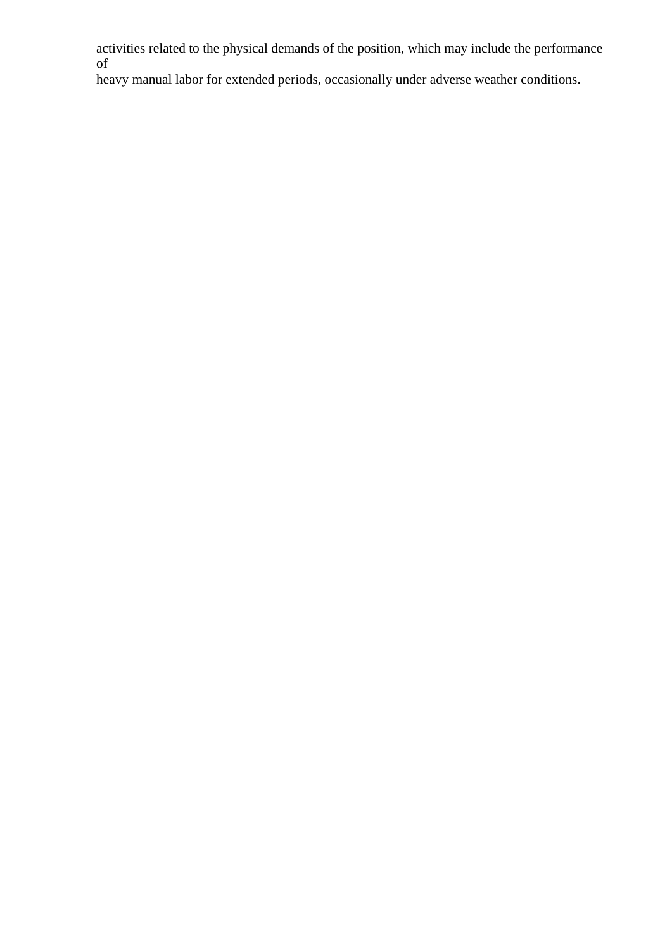activities related to the physical demands of the position, which may include the performance of

heavy manual labor for extended periods, occasionally under adverse weather conditions.